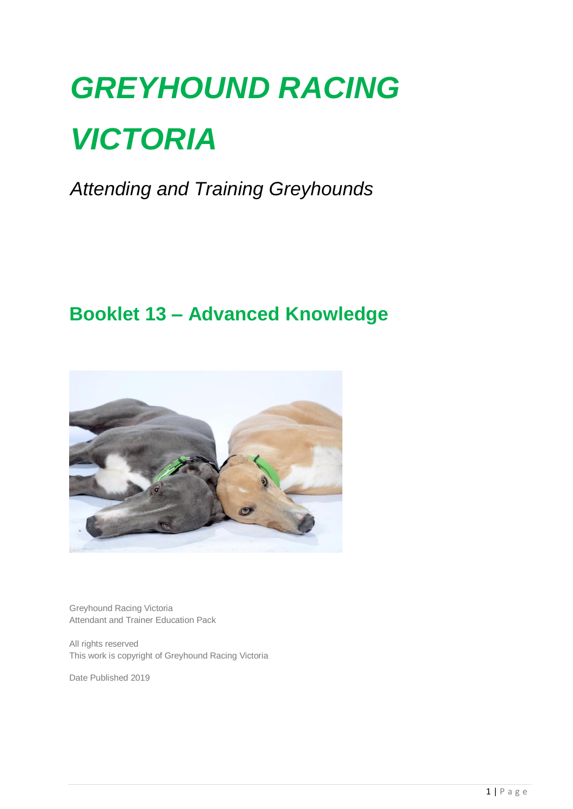# *GREYHOUND RACING VICTORIA*

*Attending and Training Greyhounds*

## **Booklet 13 – Advanced Knowledge**



Greyhound Racing Victoria Attendant and Trainer Education Pack

All rights reserved This work is copyright of Greyhound Racing Victoria

Date Published 2019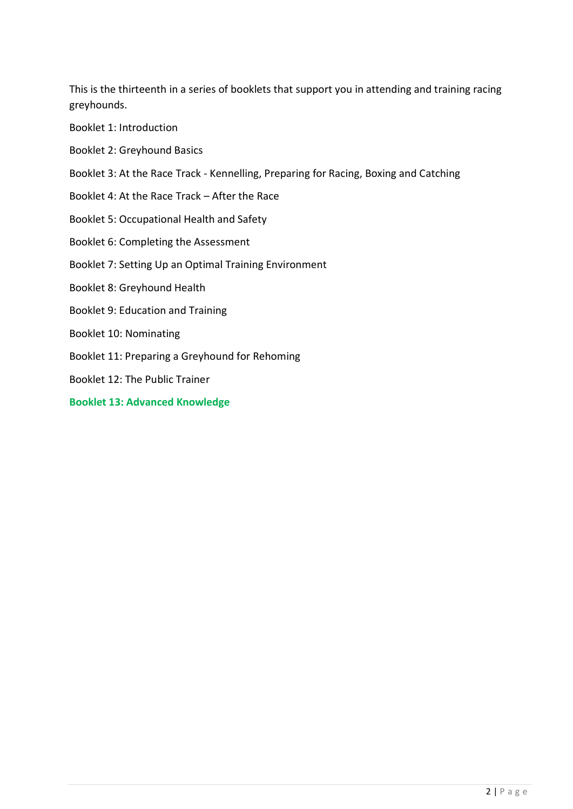This is the thirteenth in a series of booklets that support you in attending and training racing greyhounds.

Booklet 1: Introduction

- Booklet 2: Greyhound Basics
- Booklet 3: At the Race Track Kennelling, Preparing for Racing, Boxing and Catching
- Booklet 4: At the Race Track After the Race
- Booklet 5: Occupational Health and Safety
- Booklet 6: Completing the Assessment
- Booklet 7: Setting Up an Optimal Training Environment
- Booklet 8: Greyhound Health
- Booklet 9: Education and Training
- Booklet 10: Nominating
- Booklet 11: Preparing a Greyhound for Rehoming
- Booklet 12: The Public Trainer
- **Booklet 13: Advanced Knowledge**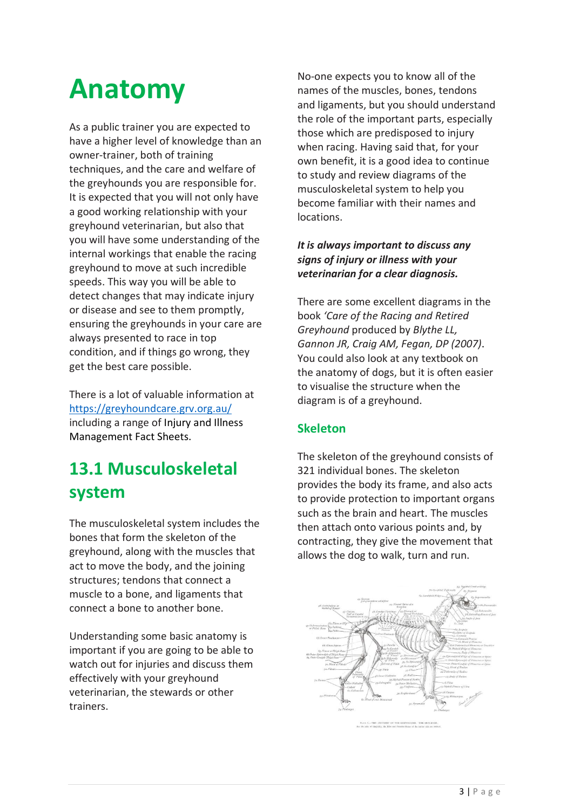## **Anatomy**

As a public trainer you are expected to have a higher level of knowledge than an owner-trainer, both of training techniques, and the care and welfare of the greyhounds you are responsible for. It is expected that you will not only have a good working relationship with your greyhound veterinarian, but also that you will have some understanding of the internal workings that enable the racing greyhound to move at such incredible speeds. This way you will be able to detect changes that may indicate injury or disease and see to them promptly, ensuring the greyhounds in your care are always presented to race in top condition, and if things go wrong, they get the best care possible.

There is a lot of valuable information at <https://greyhoundcare.grv.org.au/> including a range of Injury and Illness Management Fact Sheets.

## **13.1 Musculoskeletal system**

The musculoskeletal system includes the bones that form the skeleton of the greyhound, along with the muscles that act to move the body, and the joining structures; tendons that connect a muscle to a bone, and ligaments that connect a bone to another bone.

Understanding some basic anatomy is important if you are going to be able to watch out for injuries and discuss them effectively with your greyhound veterinarian, the stewards or other trainers.

No-one expects you to know all of the names of the muscles, bones, tendons and ligaments, but you should understand the role of the important parts, especially those which are predisposed to injury when racing. Having said that, for your own benefit, it is a good idea to continue to study and review diagrams of the musculoskeletal system to help you become familiar with their names and locations.

#### *It is always important to discuss any signs of injury or illness with your veterinarian for a clear diagnosis.*

There are some excellent diagrams in the book *'Care of the Racing and Retired Greyhound* produced by *Blythe LL, Gannon JR, Craig AM, Fegan, DP (2007)*. You could also look at any textbook on the anatomy of dogs, but it is often easier to visualise the structure when the diagram is of a greyhound.

#### **Skeleton**

The skeleton of the greyhound consists of 321 individual bones. The skeleton provides the body its frame, and also acts to provide protection to important organs such as the brain and heart. The muscles then attach onto various points and, by contracting, they give the movement that allows the dog to walk, turn and run.



FLAVE V.-THE ANATOMY OF THE GE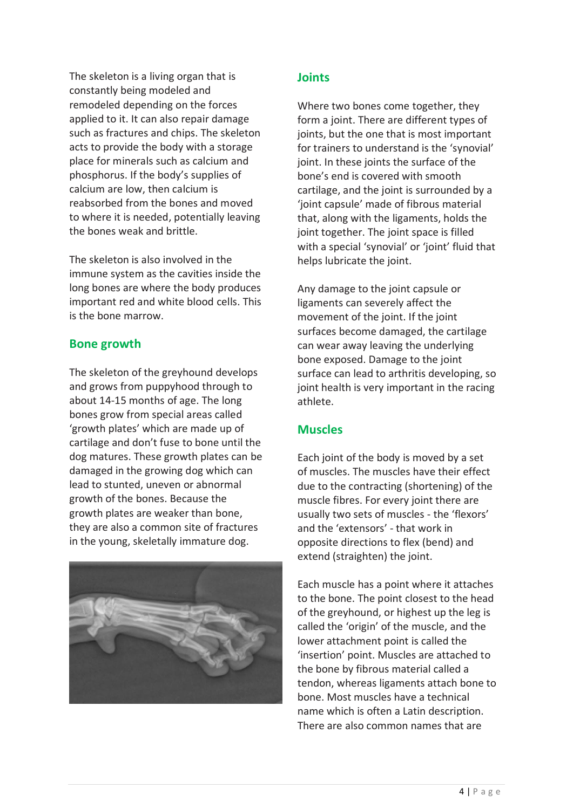The skeleton is a living organ that is constantly being modeled and remodeled depending on the forces applied to it. It can also repair damage such as fractures and chips. The skeleton acts to provide the body with a storage place for minerals such as calcium and phosphorus. If the body's supplies of calcium are low, then calcium is reabsorbed from the bones and moved to where it is needed, potentially leaving the bones weak and brittle.

The skeleton is also involved in the immune system as the cavities inside the long bones are where the body produces important red and white blood cells. This is the bone marrow.

#### **Bone growth**

The skeleton of the greyhound develops and grows from puppyhood through to about 14-15 months of age. The long bones grow from special areas called 'growth plates' which are made up of cartilage and don't fuse to bone until the dog matures. These growth plates can be damaged in the growing dog which can lead to stunted, uneven or abnormal growth of the bones. Because the growth plates are weaker than bone, they are also a common site of fractures in the young, skeletally immature dog.



#### **Joints**

Where two bones come together, they form a joint. There are different types of joints, but the one that is most important for trainers to understand is the 'synovial' joint. In these joints the surface of the bone's end is covered with smooth cartilage, and the joint is surrounded by a 'joint capsule' made of fibrous material that, along with the ligaments, holds the joint together. The joint space is filled with a special 'synovial' or 'joint' fluid that helps lubricate the joint.

Any damage to the joint capsule or ligaments can severely affect the movement of the joint. If the joint surfaces become damaged, the cartilage can wear away leaving the underlying bone exposed. Damage to the joint surface can lead to arthritis developing, so joint health is very important in the racing athlete.

#### **Muscles**

Each joint of the body is moved by a set of muscles. The muscles have their effect due to the contracting (shortening) of the muscle fibres. For every joint there are usually two sets of muscles - the 'flexors' and the 'extensors' - that work in opposite directions to flex (bend) and extend (straighten) the joint.

Each muscle has a point where it attaches to the bone. The point closest to the head of the greyhound, or highest up the leg is called the 'origin' of the muscle, and the lower attachment point is called the 'insertion' point. Muscles are attached to the bone by fibrous material called a tendon, whereas ligaments attach bone to bone. Most muscles have a technical name which is often a Latin description. There are also common names that are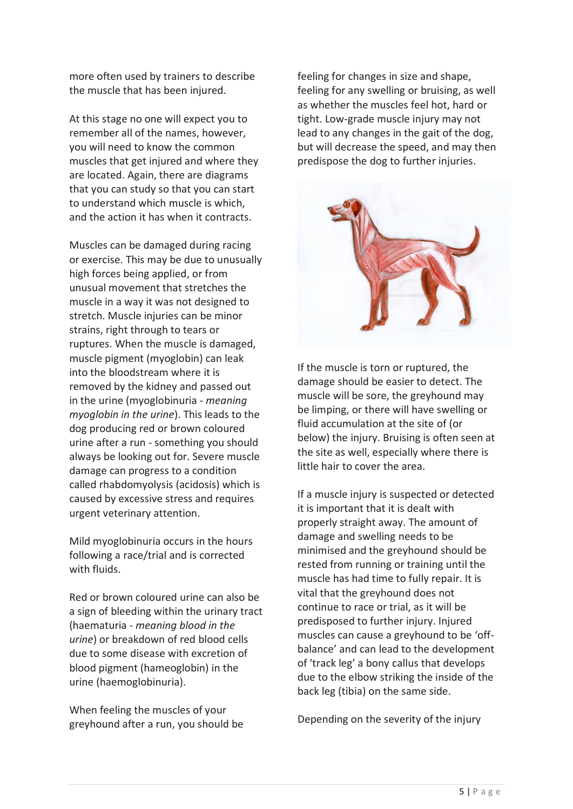more often used by trainers to describe the muscle that has been injured.

At this stage no one will expect you to remember all of the names, however, you will need to know the common muscles that get injured and where they are located. Again, there are diagrams that you can study so that you can start to understand which muscle is which, and the action it has when it contracts.

Muscles can be damaged during racing or exercise. This may be due to unusually high forces being applied, or from unusual movement that stretches the muscle in a way it was not designed to stretch. Muscle injuries can be minor strains, right through to tears or ruptures. When the muscle is damaged, muscle pigment (myoglobin) can leak into the bloodstream where it is removed by the kidney and passed out in the urine (myoglobinuria - *meaning myoglobin in the urine*). This leads to the dog producing red or brown coloured urine after a run - something you should always be looking out for. Severe muscle damage can progress to a condition called rhabdomyolysis (acidosis) which is caused by excessive stress and requires urgent veterinary attention.

Mild myoglobinuria occurs in the hours following a race/trial and is corrected with fluids.

Red or brown coloured urine can also be a sign of bleeding within the urinary tract (haematuria - *meaning blood in the urine*) or breakdown of red blood cells due to some disease with excretion of blood pigment (hameoglobin) in the urine (haemoglobinuria).

When feeling the muscles of your greyhound after a run, you should be feeling for changes in size and shape, feeling for any swelling or bruising, as well as whether the muscles feel hot, hard or tight. Low-grade muscle injury may not lead to any changes in the gait of the dog, but will decrease the speed, and may then predispose the dog to further injuries.



If the muscle is torn or ruptured, the damage should be easier to detect. The muscle will be sore, the greyhound may be limping, or there will have swelling or fluid accumulation at the site of (or below) the injury. Bruising is often seen at the site as well, especially where there is little hair to cover the area.

If a muscle injury is suspected or detected it is important that it is dealt with properly straight away. The amount of damage and swelling needs to be minimised and the greyhound should be rested from running or training until the muscle has had time to fully repair. It is vital that the greyhound does not continue to race or trial, as it will be predisposed to further injury. Injured muscles can cause a greyhound to be 'offbalance' and can lead to the development of 'track leg' a bony callus that develops due to the elbow striking the inside of the back leg (tibia) on the same side.

Depending on the severity of the injury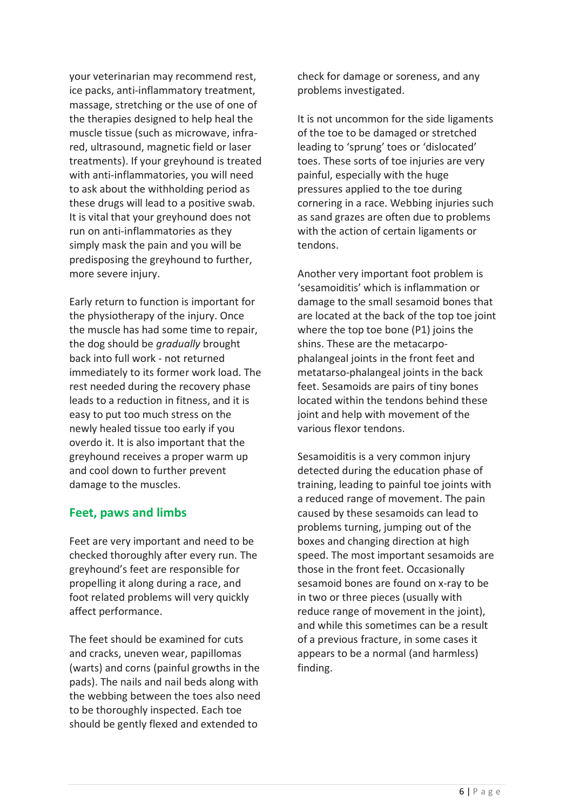your veterinarian may recommend rest, ice packs, anti-inflammatory treatment, massage, stretching or the use of one of the therapies designed to help heal the muscle tissue (such as microwave, infrared, ultrasound, magnetic field or laser treatments). If your greyhound is treated with anti-inflammatories, you will need to ask about the withholding period as these drugs will lead to a positive swab. It is vital that your greyhound does not run on anti-inflammatories as they simply mask the pain and you will be predisposing the greyhound to further, more severe injury.

Early return to function is important for the physiotherapy of the injury. Once the muscle has had some time to repair, the dog should be *gradually* brought back into full work - not returned immediately to its former work load. The rest needed during the recovery phase leads to a reduction in fitness, and it is easy to put too much stress on the newly healed tissue too early if you overdo it. It is also important that the greyhound receives a proper warm up and cool down to further prevent damage to the muscles.

#### **Feet, paws and limbs**

Feet are very important and need to be checked thoroughly after every run. The greyhound's feet are responsible for propelling it along during a race, and foot related problems will very quickly affect performance.

The feet should be examined for cuts and cracks, uneven wear, papillomas (warts) and corns (painful growths in the pads). The nails and nail beds along with the webbing between the toes also need to be thoroughly inspected. Each toe should be gently flexed and extended to

check for damage or soreness, and any problems investigated.

It is not uncommon for the side ligaments of the toe to be damaged or stretched leading to 'sprung' toes or 'dislocated' toes. These sorts of toe injuries are very painful, especially with the huge pressures applied to the toe during cornering in a race. Webbing injuries such as sand grazes are often due to problems with the action of certain ligaments or tendons.

Another very important foot problem is 'sesamoiditis' which is inflammation or damage to the small sesamoid bones that are located at the back of the top toe joint where the top toe bone (P1) joins the shins. These are the metacarpophalangeal joints in the front feet and metatarso-phalangeal joints in the back feet. Sesamoids are pairs of tiny bones located within the tendons behind these joint and help with movement of the various flexor tendons.

Sesamoiditis is a very common injury detected during the education phase of training, leading to painful toe joints with a reduced range of movement. The pain caused by these sesamoids can lead to problems turning, jumping out of the boxes and changing direction at high speed. The most important sesamoids are those in the front feet. Occasionally sesamoid bones are found on x-ray to be in two or three pieces (usually with reduce range of movement in the joint), and while this sometimes can be a result of a previous fracture, in some cases it appears to be a normal (and harmless) finding.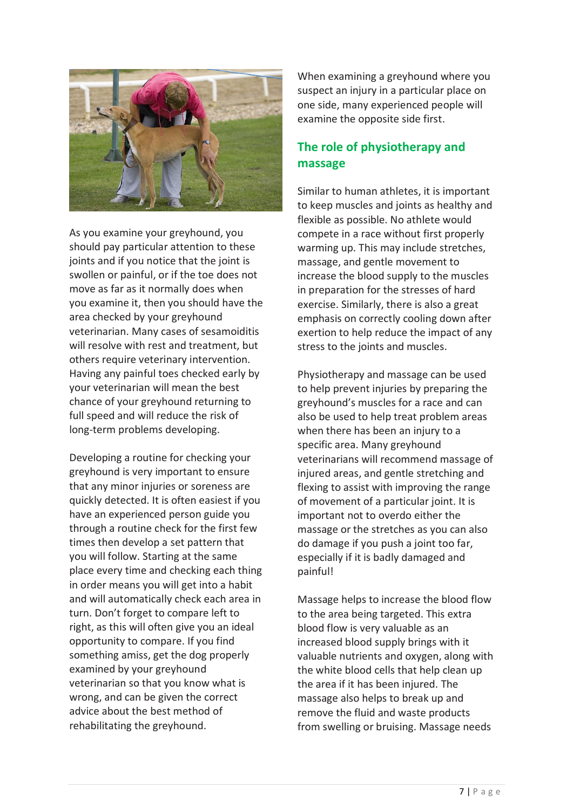

As you examine your greyhound, you should pay particular attention to these joints and if you notice that the joint is swollen or painful, or if the toe does not move as far as it normally does when you examine it, then you should have the area checked by your greyhound veterinarian. Many cases of sesamoiditis will resolve with rest and treatment, but others require veterinary intervention. Having any painful toes checked early by your veterinarian will mean the best chance of your greyhound returning to full speed and will reduce the risk of long-term problems developing.

Developing a routine for checking your greyhound is very important to ensure that any minor injuries or soreness are quickly detected. It is often easiest if you have an experienced person guide you through a routine check for the first few times then develop a set pattern that you will follow. Starting at the same place every time and checking each thing in order means you will get into a habit and will automatically check each area in turn. Don't forget to compare left to right, as this will often give you an ideal opportunity to compare. If you find something amiss, get the dog properly examined by your greyhound veterinarian so that you know what is wrong, and can be given the correct advice about the best method of rehabilitating the greyhound.

When examining a greyhound where you suspect an injury in a particular place on one side, many experienced people will examine the opposite side first.

#### **The role of physiotherapy and massage**

Similar to human athletes, it is important to keep muscles and joints as healthy and flexible as possible. No athlete would compete in a race without first properly warming up. This may include stretches, massage, and gentle movement to increase the blood supply to the muscles in preparation for the stresses of hard exercise. Similarly, there is also a great emphasis on correctly cooling down after exertion to help reduce the impact of any stress to the joints and muscles.

Physiotherapy and massage can be used to help prevent injuries by preparing the greyhound's muscles for a race and can also be used to help treat problem areas when there has been an injury to a specific area. Many greyhound veterinarians will recommend massage of injured areas, and gentle stretching and flexing to assist with improving the range of movement of a particular joint. It is important not to overdo either the massage or the stretches as you can also do damage if you push a joint too far, especially if it is badly damaged and painful!

Massage helps to increase the blood flow to the area being targeted. This extra blood flow is very valuable as an increased blood supply brings with it valuable nutrients and oxygen, along with the white blood cells that help clean up the area if it has been injured. The massage also helps to break up and remove the fluid and waste products from swelling or bruising. Massage needs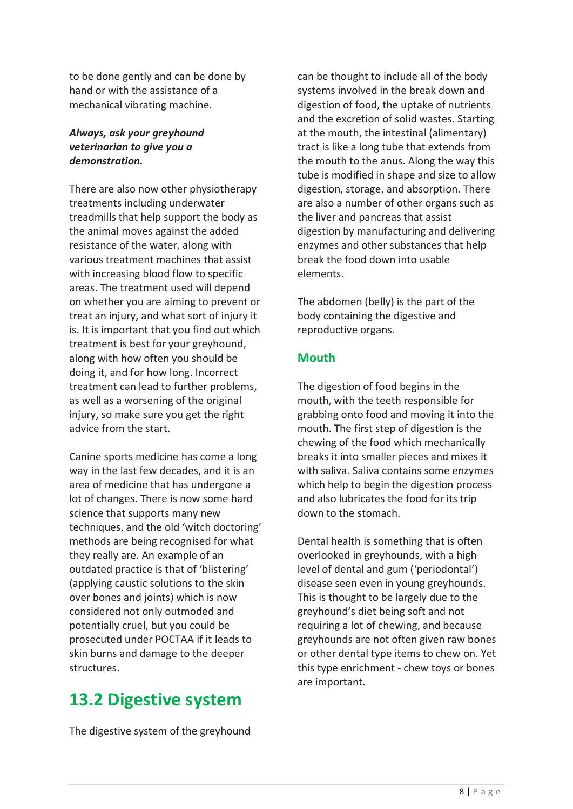to be done gently and can be done by hand or with the assistance of a mechanical vibrating machine.

#### *Always, ask your greyhound veterinarian to give you a demonstration.*

There are also now other physiotherapy treatments including underwater treadmills that help support the body as the animal moves against the added resistance of the water, along with various treatment machines that assist with increasing blood flow to specific areas. The treatment used will depend on whether you are aiming to prevent or treat an injury, and what sort of injury it is. It is important that you find out which treatment is best for your greyhound, along with how often you should be doing it, and for how long. Incorrect treatment can lead to further problems, as well as a worsening of the original injury, so make sure you get the right advice from the start.

Canine sports medicine has come a long way in the last few decades, and it is an area of medicine that has undergone a lot of changes. There is now some hard science that supports many new techniques, and the old 'witch doctoring' methods are being recognised for what they really are. An example of an outdated practice is that of 'blistering' (applying caustic solutions to the skin over bones and joints) which is now considered not only outmoded and potentially cruel, but you could be prosecuted under POCTAA if it leads to skin burns and damage to the deeper structures.

## **13.2 Digestive system**

The digestive system of the greyhound

can be thought to include all of the body systems involved in the break down and digestion of food, the uptake of nutrients and the excretion of solid wastes. Starting at the mouth, the intestinal (alimentary) tract is like a long tube that extends from the mouth to the anus. Along the way this tube is modified in shape and size to allow digestion, storage, and absorption. There are also a number of other organs such as the liver and pancreas that assist digestion by manufacturing and delivering enzymes and other substances that help break the food down into usable elements.

The abdomen (belly) is the part of the body containing the digestive and reproductive organs.

#### **Mouth**

The digestion of food begins in the mouth, with the teeth responsible for grabbing onto food and moving it into the mouth. The first step of digestion is the chewing of the food which mechanically breaks it into smaller pieces and mixes it with saliva. Saliva contains some enzymes which help to begin the digestion process and also lubricates the food for its trip down to the stomach.

Dental health is something that is often overlooked in greyhounds, with a high level of dental and gum ('periodontal') disease seen even in young greyhounds. This is thought to be largely due to the greyhound's diet being soft and not requiring a lot of chewing, and because greyhounds are not often given raw bones or other dental type items to chew on. Yet this type enrichment - chew toys or bones are important.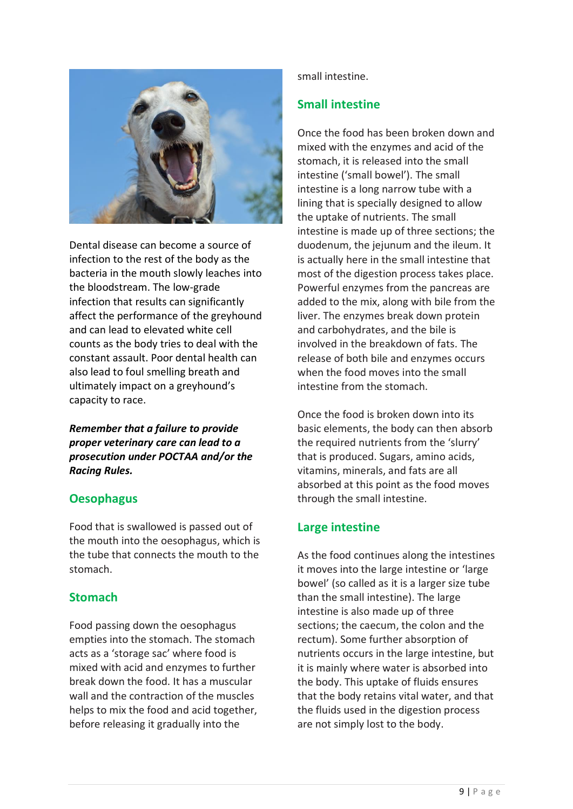

Dental disease can become a source of infection to the rest of the body as the bacteria in the mouth slowly leaches into the bloodstream. The low-grade infection that results can significantly affect the performance of the greyhound and can lead to elevated white cell counts as the body tries to deal with the constant assault. Poor dental health can also lead to foul smelling breath and ultimately impact on a greyhound's capacity to race.

*Remember that a failure to provide proper veterinary care can lead to a prosecution under POCTAA and/or the Racing Rules.* 

#### **Oesophagus**

Food that is swallowed is passed out of the mouth into the oesophagus, which is the tube that connects the mouth to the stomach.

#### **Stomach**

Food passing down the oesophagus empties into the stomach. The stomach acts as a 'storage sac' where food is mixed with acid and enzymes to further break down the food. It has a muscular wall and the contraction of the muscles helps to mix the food and acid together, before releasing it gradually into the

small intestine.

#### **Small intestine**

Once the food has been broken down and mixed with the enzymes and acid of the stomach, it is released into the small intestine ('small bowel'). The small intestine is a long narrow tube with a lining that is specially designed to allow the uptake of nutrients. The small intestine is made up of three sections; the duodenum, the jejunum and the ileum. It is actually here in the small intestine that most of the digestion process takes place. Powerful enzymes from the pancreas are added to the mix, along with bile from the liver. The enzymes break down protein and carbohydrates, and the bile is involved in the breakdown of fats. The release of both bile and enzymes occurs when the food moves into the small intestine from the stomach.

Once the food is broken down into its basic elements, the body can then absorb the required nutrients from the 'slurry' that is produced. Sugars, amino acids, vitamins, minerals, and fats are all absorbed at this point as the food moves through the small intestine.

#### **Large intestine**

As the food continues along the intestines it moves into the large intestine or 'large bowel' (so called as it is a larger size tube than the small intestine). The large intestine is also made up of three sections; the caecum, the colon and the rectum). Some further absorption of nutrients occurs in the large intestine, but it is mainly where water is absorbed into the body. This uptake of fluids ensures that the body retains vital water, and that the fluids used in the digestion process are not simply lost to the body.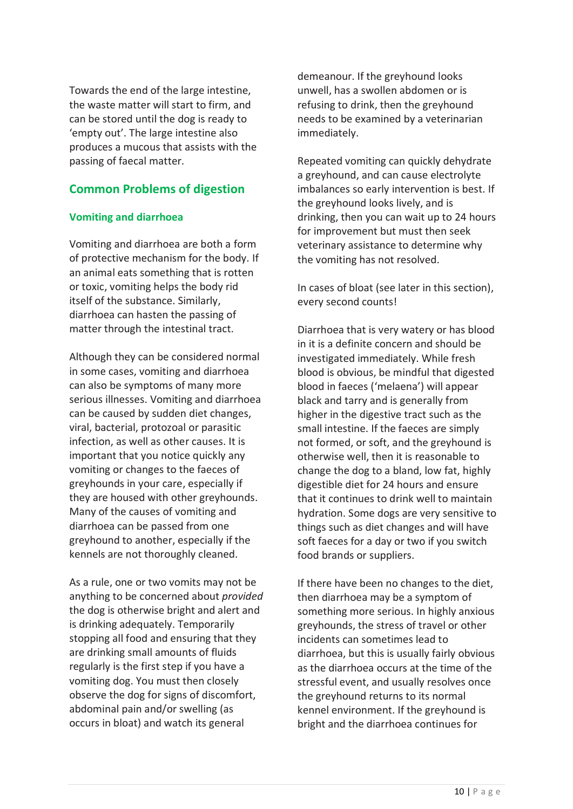Towards the end of the large intestine, the waste matter will start to firm, and can be stored until the dog is ready to 'empty out'. The large intestine also produces a mucous that assists with the passing of faecal matter.

#### **Common Problems of digestion**

#### **Vomiting and diarrhoea**

Vomiting and diarrhoea are both a form of protective mechanism for the body. If an animal eats something that is rotten or toxic, vomiting helps the body rid itself of the substance. Similarly, diarrhoea can hasten the passing of matter through the intestinal tract.

Although they can be considered normal in some cases, vomiting and diarrhoea can also be symptoms of many more serious illnesses. Vomiting and diarrhoea can be caused by sudden diet changes, viral, bacterial, protozoal or parasitic infection, as well as other causes. It is important that you notice quickly any vomiting or changes to the faeces of greyhounds in your care, especially if they are housed with other greyhounds. Many of the causes of vomiting and diarrhoea can be passed from one greyhound to another, especially if the kennels are not thoroughly cleaned.

As a rule, one or two vomits may not be anything to be concerned about *provided* the dog is otherwise bright and alert and is drinking adequately. Temporarily stopping all food and ensuring that they are drinking small amounts of fluids regularly is the first step if you have a vomiting dog. You must then closely observe the dog for signs of discomfort, abdominal pain and/or swelling (as occurs in bloat) and watch its general

demeanour. If the greyhound looks unwell, has a swollen abdomen or is refusing to drink, then the greyhound needs to be examined by a veterinarian immediately.

Repeated vomiting can quickly dehydrate a greyhound, and can cause electrolyte imbalances so early intervention is best. If the greyhound looks lively, and is drinking, then you can wait up to 24 hours for improvement but must then seek veterinary assistance to determine why the vomiting has not resolved.

In cases of bloat (see later in this section), every second counts!

Diarrhoea that is very watery or has blood in it is a definite concern and should be investigated immediately. While fresh blood is obvious, be mindful that digested blood in faeces ('melaena') will appear black and tarry and is generally from higher in the digestive tract such as the small intestine. If the faeces are simply not formed, or soft, and the greyhound is otherwise well, then it is reasonable to change the dog to a bland, low fat, highly digestible diet for 24 hours and ensure that it continues to drink well to maintain hydration. Some dogs are very sensitive to things such as diet changes and will have soft faeces for a day or two if you switch food brands or suppliers.

If there have been no changes to the diet, then diarrhoea may be a symptom of something more serious. In highly anxious greyhounds, the stress of travel or other incidents can sometimes lead to diarrhoea, but this is usually fairly obvious as the diarrhoea occurs at the time of the stressful event, and usually resolves once the greyhound returns to its normal kennel environment. If the greyhound is bright and the diarrhoea continues for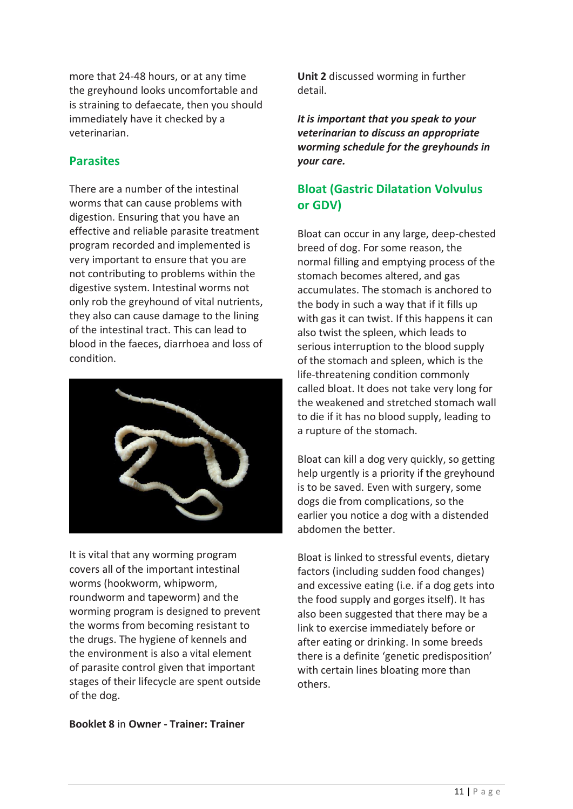more that 24-48 hours, or at any time the greyhound looks uncomfortable and is straining to defaecate, then you should immediately have it checked by a veterinarian.

#### **Parasites**

There are a number of the intestinal worms that can cause problems with digestion. Ensuring that you have an effective and reliable parasite treatment program recorded and implemented is very important to ensure that you are not contributing to problems within the digestive system. Intestinal worms not only rob the greyhound of vital nutrients, they also can cause damage to the lining of the intestinal tract. This can lead to blood in the faeces, diarrhoea and loss of condition.



It is vital that any worming program covers all of the important intestinal worms (hookworm, whipworm, roundworm and tapeworm) and the worming program is designed to prevent the worms from becoming resistant to the drugs. The hygiene of kennels and the environment is also a vital element of parasite control given that important stages of their lifecycle are spent outside of the dog.

**Booklet 8** in **Owner - Trainer: Trainer** 

**Unit 2** discussed worming in further detail.

*It is important that you speak to your veterinarian to discuss an appropriate worming schedule for the greyhounds in your care.*

#### **Bloat (Gastric Dilatation Volvulus or GDV)**

Bloat can occur in any large, deep-chested breed of dog. For some reason, the normal filling and emptying process of the stomach becomes altered, and gas accumulates. The stomach is anchored to the body in such a way that if it fills up with gas it can twist. If this happens it can also twist the spleen, which leads to serious interruption to the blood supply of the stomach and spleen, which is the life-threatening condition commonly called bloat. It does not take very long for the weakened and stretched stomach wall to die if it has no blood supply, leading to a rupture of the stomach.

Bloat can kill a dog very quickly, so getting help urgently is a priority if the greyhound is to be saved. Even with surgery, some dogs die from complications, so the earlier you notice a dog with a distended abdomen the better.

Bloat is linked to stressful events, dietary factors (including sudden food changes) and excessive eating (i.e. if a dog gets into the food supply and gorges itself). It has also been suggested that there may be a link to exercise immediately before or after eating or drinking. In some breeds there is a definite 'genetic predisposition' with certain lines bloating more than others.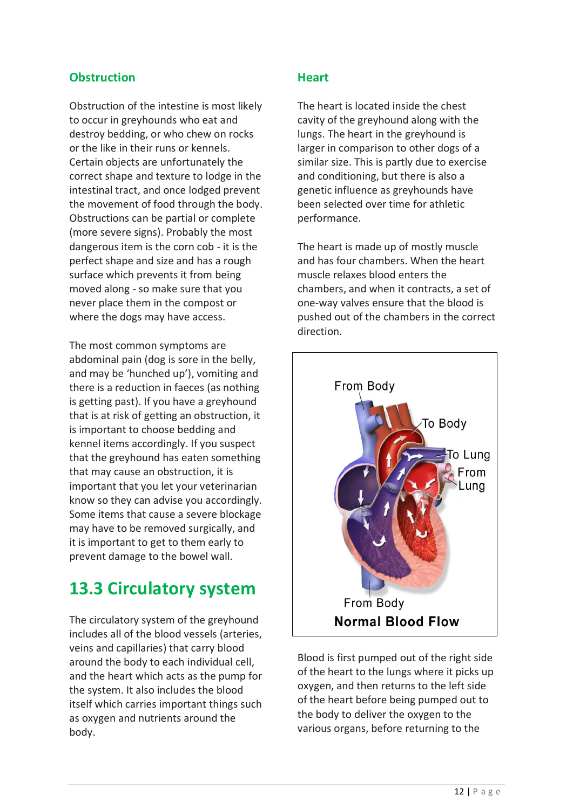#### **Obstruction**

Obstruction of the intestine is most likely to occur in greyhounds who eat and destroy bedding, or who chew on rocks or the like in their runs or kennels. Certain objects are unfortunately the correct shape and texture to lodge in the intestinal tract, and once lodged prevent the movement of food through the body. Obstructions can be partial or complete (more severe signs). Probably the most dangerous item is the corn cob - it is the perfect shape and size and has a rough surface which prevents it from being moved along - so make sure that you never place them in the compost or where the dogs may have access.

The most common symptoms are abdominal pain (dog is sore in the belly, and may be 'hunched up'), vomiting and there is a reduction in faeces (as nothing is getting past). If you have a greyhound that is at risk of getting an obstruction, it is important to choose bedding and kennel items accordingly. If you suspect that the greyhound has eaten something that may cause an obstruction, it is important that you let your veterinarian know so they can advise you accordingly. Some items that cause a severe blockage may have to be removed surgically, and it is important to get to them early to prevent damage to the bowel wall.

## **13.3 Circulatory system**

The circulatory system of the greyhound includes all of the blood vessels (arteries, veins and capillaries) that carry blood around the body to each individual cell, and the heart which acts as the pump for the system. It also includes the blood itself which carries important things such as oxygen and nutrients around the body.

#### **Heart**

The heart is located inside the chest cavity of the greyhound along with the lungs. The heart in the greyhound is larger in comparison to other dogs of a similar size. This is partly due to exercise and conditioning, but there is also a genetic influence as greyhounds have been selected over time for athletic performance.

The heart is made up of mostly muscle and has four chambers. When the heart muscle relaxes blood enters the chambers, and when it contracts, a set of one-way valves ensure that the blood is pushed out of the chambers in the correct direction.



Blood is first pumped out of the right side of the heart to the lungs where it picks up oxygen, and then returns to the left side of the heart before being pumped out to the body to deliver the oxygen to the various organs, before returning to the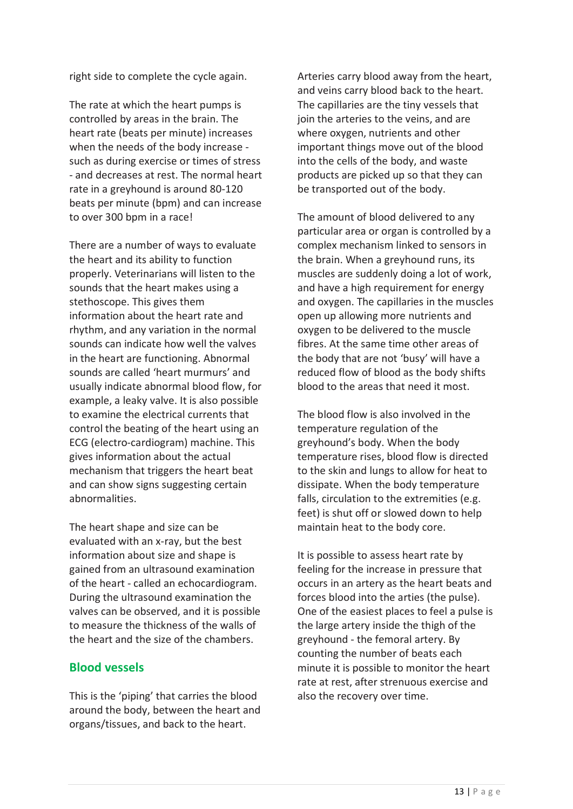right side to complete the cycle again.

The rate at which the heart pumps is controlled by areas in the brain. The heart rate (beats per minute) increases when the needs of the body increase such as during exercise or times of stress - and decreases at rest. The normal heart rate in a greyhound is around 80-120 beats per minute (bpm) and can increase to over 300 bpm in a race!

There are a number of ways to evaluate the heart and its ability to function properly. Veterinarians will listen to the sounds that the heart makes using a stethoscope. This gives them information about the heart rate and rhythm, and any variation in the normal sounds can indicate how well the valves in the heart are functioning. Abnormal sounds are called 'heart murmurs' and usually indicate abnormal blood flow, for example, a leaky valve. It is also possible to examine the electrical currents that control the beating of the heart using an ECG (electro-cardiogram) machine. This gives information about the actual mechanism that triggers the heart beat and can show signs suggesting certain abnormalities.

The heart shape and size can be evaluated with an x-ray, but the best information about size and shape is gained from an ultrasound examination of the heart - called an echocardiogram. During the ultrasound examination the valves can be observed, and it is possible to measure the thickness of the walls of the heart and the size of the chambers.

#### **Blood vessels**

This is the 'piping' that carries the blood around the body, between the heart and organs/tissues, and back to the heart.

Arteries carry blood away from the heart, and veins carry blood back to the heart. The capillaries are the tiny vessels that join the arteries to the veins, and are where oxygen, nutrients and other important things move out of the blood into the cells of the body, and waste products are picked up so that they can be transported out of the body.

The amount of blood delivered to any particular area or organ is controlled by a complex mechanism linked to sensors in the brain. When a greyhound runs, its muscles are suddenly doing a lot of work, and have a high requirement for energy and oxygen. The capillaries in the muscles open up allowing more nutrients and oxygen to be delivered to the muscle fibres. At the same time other areas of the body that are not 'busy' will have a reduced flow of blood as the body shifts blood to the areas that need it most.

The blood flow is also involved in the temperature regulation of the greyhound's body. When the body temperature rises, blood flow is directed to the skin and lungs to allow for heat to dissipate. When the body temperature falls, circulation to the extremities (e.g. feet) is shut off or slowed down to help maintain heat to the body core.

It is possible to assess heart rate by feeling for the increase in pressure that occurs in an artery as the heart beats and forces blood into the arties (the pulse). One of the easiest places to feel a pulse is the large artery inside the thigh of the greyhound - the femoral artery. By counting the number of beats each minute it is possible to monitor the heart rate at rest, after strenuous exercise and also the recovery over time.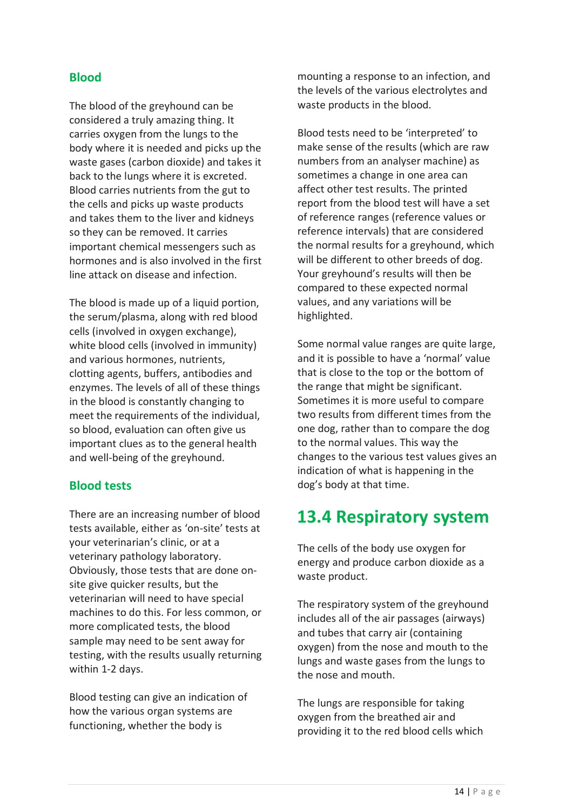#### **Blood**

The blood of the greyhound can be considered a truly amazing thing. It carries oxygen from the lungs to the body where it is needed and picks up the waste gases (carbon dioxide) and takes it back to the lungs where it is excreted. Blood carries nutrients from the gut to the cells and picks up waste products and takes them to the liver and kidneys so they can be removed. It carries important chemical messengers such as hormones and is also involved in the first line attack on disease and infection.

The blood is made up of a liquid portion, the serum/plasma, along with red blood cells (involved in oxygen exchange), white blood cells (involved in immunity) and various hormones, nutrients, clotting agents, buffers, antibodies and enzymes. The levels of all of these things in the blood is constantly changing to meet the requirements of the individual, so blood, evaluation can often give us important clues as to the general health and well-being of the greyhound.

#### **Blood tests**

There are an increasing number of blood tests available, either as 'on-site' tests at your veterinarian's clinic, or at a veterinary pathology laboratory. Obviously, those tests that are done onsite give quicker results, but the veterinarian will need to have special machines to do this. For less common, or more complicated tests, the blood sample may need to be sent away for testing, with the results usually returning within 1-2 days.

Blood testing can give an indication of how the various organ systems are functioning, whether the body is

mounting a response to an infection, and the levels of the various electrolytes and waste products in the blood.

Blood tests need to be 'interpreted' to make sense of the results (which are raw numbers from an analyser machine) as sometimes a change in one area can affect other test results. The printed report from the blood test will have a set of reference ranges (reference values or reference intervals) that are considered the normal results for a greyhound, which will be different to other breeds of dog. Your greyhound's results will then be compared to these expected normal values, and any variations will be highlighted.

Some normal value ranges are quite large, and it is possible to have a 'normal' value that is close to the top or the bottom of the range that might be significant. Sometimes it is more useful to compare two results from different times from the one dog, rather than to compare the dog to the normal values. This way the changes to the various test values gives an indication of what is happening in the dog's body at that time.

## **13.4 Respiratory system**

The cells of the body use oxygen for energy and produce carbon dioxide as a waste product.

The respiratory system of the greyhound includes all of the air passages (airways) and tubes that carry air (containing oxygen) from the nose and mouth to the lungs and waste gases from the lungs to the nose and mouth.

The lungs are responsible for taking oxygen from the breathed air and providing it to the red blood cells which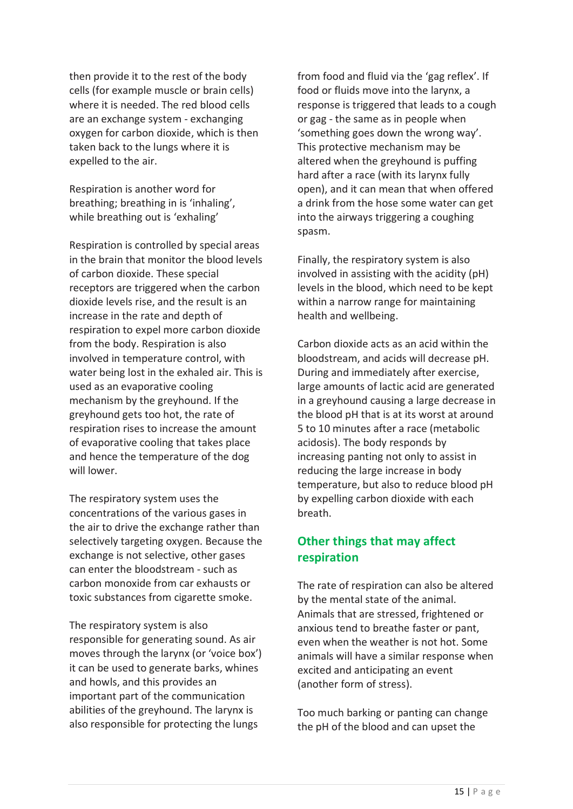then provide it to the rest of the body cells (for example muscle or brain cells) where it is needed. The red blood cells are an exchange system - exchanging oxygen for carbon dioxide, which is then taken back to the lungs where it is expelled to the air.

Respiration is another word for breathing; breathing in is 'inhaling', while breathing out is 'exhaling'

Respiration is controlled by special areas in the brain that monitor the blood levels of carbon dioxide. These special receptors are triggered when the carbon dioxide levels rise, and the result is an increase in the rate and depth of respiration to expel more carbon dioxide from the body. Respiration is also involved in temperature control, with water being lost in the exhaled air. This is used as an evaporative cooling mechanism by the greyhound. If the greyhound gets too hot, the rate of respiration rises to increase the amount of evaporative cooling that takes place and hence the temperature of the dog will lower.

The respiratory system uses the concentrations of the various gases in the air to drive the exchange rather than selectively targeting oxygen. Because the exchange is not selective, other gases can enter the bloodstream - such as carbon monoxide from car exhausts or toxic substances from cigarette smoke.

The respiratory system is also responsible for generating sound. As air moves through the larynx (or 'voice box') it can be used to generate barks, whines and howls, and this provides an important part of the communication abilities of the greyhound. The larynx is also responsible for protecting the lungs

from food and fluid via the 'gag reflex'. If food or fluids move into the larynx, a response is triggered that leads to a cough or gag - the same as in people when 'something goes down the wrong way'. This protective mechanism may be altered when the greyhound is puffing hard after a race (with its larynx fully open), and it can mean that when offered a drink from the hose some water can get into the airways triggering a coughing spasm.

Finally, the respiratory system is also involved in assisting with the acidity (pH) levels in the blood, which need to be kept within a narrow range for maintaining health and wellbeing.

Carbon dioxide acts as an acid within the bloodstream, and acids will decrease pH. During and immediately after exercise, large amounts of lactic acid are generated in a greyhound causing a large decrease in the blood pH that is at its worst at around 5 to 10 minutes after a race (metabolic acidosis). The body responds by increasing panting not only to assist in reducing the large increase in body temperature, but also to reduce blood pH by expelling carbon dioxide with each breath.

#### **Other things that may affect respiration**

The rate of respiration can also be altered by the mental state of the animal. Animals that are stressed, frightened or anxious tend to breathe faster or pant, even when the weather is not hot. Some animals will have a similar response when excited and anticipating an event (another form of stress).

Too much barking or panting can change the pH of the blood and can upset the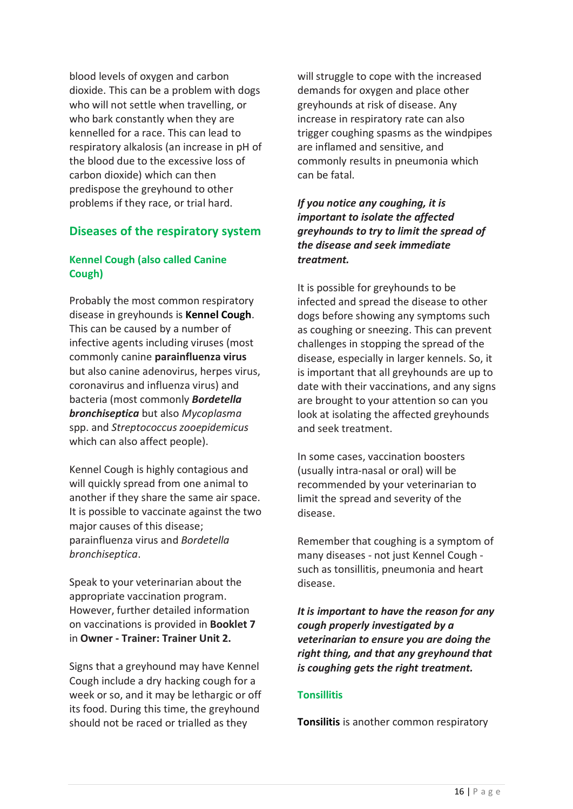blood levels of oxygen and carbon dioxide. This can be a problem with dogs who will not settle when travelling, or who bark constantly when they are kennelled for a race. This can lead to respiratory alkalosis (an increase in pH of the blood due to the excessive loss of carbon dioxide) which can then predispose the greyhound to other problems if they race, or trial hard.

#### **Diseases of the respiratory system**

#### **Kennel Cough (also called Canine Cough)**

Probably the most common respiratory disease in greyhounds is **Kennel Cough**. This can be caused by a number of infective agents including viruses (most commonly canine **parainfluenza virus** but also canine adenovirus, herpes virus, coronavirus and influenza virus) and bacteria (most commonly *Bordetella bronchiseptica* but also *Mycoplasma* spp. and *Streptococcus zooepidemicus* which can also affect people).

Kennel Cough is highly contagious and will quickly spread from one animal to another if they share the same air space. It is possible to vaccinate against the two major causes of this disease; parainfluenza virus and *Bordetella bronchiseptica*.

Speak to your veterinarian about the appropriate vaccination program. However, further detailed information on vaccinations is provided in **Booklet 7** in **Owner - Trainer: Trainer Unit 2.**

Signs that a greyhound may have Kennel Cough include a dry hacking cough for a week or so, and it may be lethargic or off its food. During this time, the greyhound should not be raced or trialled as they

will struggle to cope with the increased demands for oxygen and place other greyhounds at risk of disease. Any increase in respiratory rate can also trigger coughing spasms as the windpipes are inflamed and sensitive, and commonly results in pneumonia which can be fatal.

*If you notice any coughing, it is important to isolate the affected greyhounds to try to limit the spread of the disease and seek immediate treatment.*

It is possible for greyhounds to be infected and spread the disease to other dogs before showing any symptoms such as coughing or sneezing. This can prevent challenges in stopping the spread of the disease, especially in larger kennels. So, it is important that all greyhounds are up to date with their vaccinations, and any signs are brought to your attention so can you look at isolating the affected greyhounds and seek treatment.

In some cases, vaccination boosters (usually intra-nasal or oral) will be recommended by your veterinarian to limit the spread and severity of the disease.

Remember that coughing is a symptom of many diseases - not just Kennel Cough such as tonsillitis, pneumonia and heart disease.

*It is important to have the reason for any cough properly investigated by a veterinarian to ensure you are doing the right thing, and that any greyhound that is coughing gets the right treatment.*

#### **Tonsillitis**

**Tonsilitis** is another common respiratory